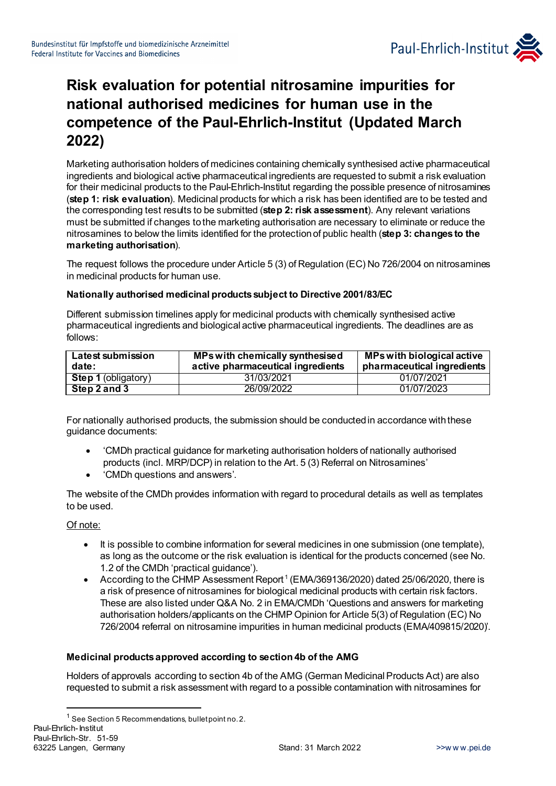

# **Risk evaluation for potential nitrosamine impurities for national authorised medicines for human use in the competence of the Paul-Ehrlich-Institut (Updated March 2022)**

Marketing authorisation holders of medicines containing chemically synthesised active pharmaceutical ingredients and biological active pharmaceutical ingredients are requested to submit a risk evaluation for their medicinal products to the Paul-Ehrlich-Institut regarding the possible presence of nitrosamines (**step 1: risk evaluation**). Medicinal products for which a risk has been identified are to be tested and the corresponding test results to be submitted (**step 2: risk assessment**). Any relevant variations must be submitted if changes to the marketing authorisation are necessary to eliminate or reduce the nitrosamines to below the limits identified for the protection of public health (**step 3: changes to the marketing authorisation**).

The request follows the procedure under Article 5 (3) of Regulation (EC) No 726/2004 on nitrosamines in medicinal products for human use.

#### **Nationally authorised medicinal products subject to Directive 2001/83/EC**

Different submission timelines apply for medicinal products with chemically synthesised active pharmaceutical ingredients and biological active pharmaceutical ingredients. The deadlines are as follows:

| Latest submission<br>date: | MPs with chemically synthesised<br>active pharmaceutical ingredients | MPs with biological active<br>pharmaceutical ingredients |
|----------------------------|----------------------------------------------------------------------|----------------------------------------------------------|
| <b>Step 1 (obligatory)</b> | 31/03/2021                                                           | 01/07/2021                                               |
| Step 2 and 3               | 26/09/2022                                                           | 01/07/2023                                               |

For nationally authorised products, the submission should be conducted in accordance with these guidance documents:

- 'CMDh practical guidance for marketing authorisation holders of nationally authorised products (incl. MRP/DCP) in relation to the Art. 5 (3) Referral on Nitrosamines'
- 'CMDh questions and answers'.

The website of the CMDh provides information with regard to procedural details as well as templates to be used.

#### Of note:

1

- It is possible to combine information for several medicines in one submission (one template), as long as the outcome or the risk evaluation is identical for the products concerned (see No. 1.2 of the CMDh 'practical guidance').
- According to the CHMP Assessment Report<sup>[1](#page-0-0)</sup> (EMA/369136/2020) dated 25/06/2020, there is a risk of presence of nitrosamines for biological medicinal products with certain risk factors. These are also listed under Q&A No. 2 in EMA/CMDh 'Questions and answers for marketing authorisation holders/applicants on the CHMP Opinion for Article 5(3) of Regulation (EC) No 726/2004 referral on nitrosamine impurities in human medicinal products (EMA/409815/2020)'.

#### **Medicinal products approved according to section 4b of the AMG**

Holders of approvals according to section 4b of the AMG (German Medicinal Products Act) are also requested to submit a risk assessment with regard to a possible contamination with nitrosamines for

<span id="page-0-0"></span>Paul-Ehrlich-Institut Paul-Ehrlich-Str. 51-59 63225 Langen, Germany **Stand: 31 March 2022** >[>w w w.pei.de](http://www.pei.de/)  $1$  See Section 5 Recommendations, bullet point no. 2.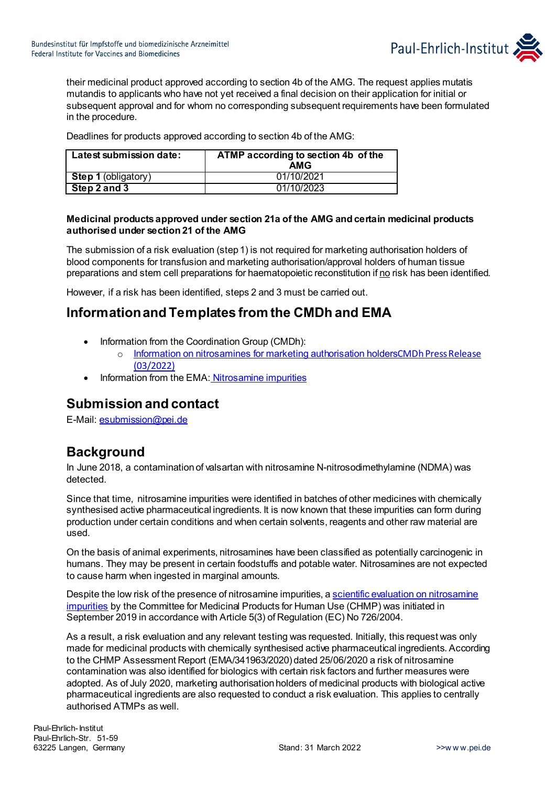

their medicinal product approved according to section 4b of the AMG. The request applies mutatis mutandis to applicants who have not yet received a final decision on their application for initial or subsequent approval and for whom no corresponding subsequent requirements have been formulated in the procedure.

Deadlines for products approved according to section 4b of the AMG:

| Latest submission date:    | ATMP according to section 4b of the<br>AMG |
|----------------------------|--------------------------------------------|
| <b>Step 1 (obligatory)</b> | 01/10/2021                                 |
| $Step 2$ and 3             | 01/10/2023                                 |

#### **Medicinal products approved under section 21a of the AMG and certain medicinal products authorised under section 21 of the AMG**

The submission of a risk evaluation (step 1) is not required for marketing authorisation holders of blood components for transfusion and marketing authorisation/approval holders of human tissue preparations and stem cell preparations for haematopoietic reconstitution if no risk has been identified.

However, if a risk has been identified, steps 2 and 3 must be carried out.

### **Information and Templates from the CMDh and EMA**

- Information from the Coordination Group (CMDh):
	- o [Information on nitrosamines for marketing authorisation holders](https://www.hma.eu/620.html)[CMDh Press Release](https://www.hma.eu/620.html)  [\(03/2022\)](https://www.hma.eu/fileadmin/dateien/Human_Medicines/CMD_h_/CMDh_pressreleases/2022/CMDh_press_release_-_March_2022.pdf)
- Information from the EMA: [Nitrosamine impurities](https://www.ema.europa.eu/en/human-regulatory/post-authorisation/referral-procedures/nitrosamine-impurities#scientific-opinion-on-the-risk-of-nitrosamine-impurities-in-human-medicines-section)

### **Submission and contact**

E-Mail[: esubmission@pei.de](mailto:esubmission@pei.de)

## **Background**

In June 2018, a contamination of valsartan with nitrosamine N-nitrosodimethylamine (NDMA) was detected.

Since that time, nitrosamine impurities were identified in batches of other medicines with chemically synthesised active pharmaceutical ingredients. It is now known that these impurities can form during production under certain conditions and when certain solvents, reagents and other raw material are used.

On the basis of animal experiments, nitrosamines have been classified as potentially carcinogenic in humans. They may be present in certain foodstuffs and potable water. Nitrosamines are not expected to cause harm when ingested in marginal amounts.

Despite the low risk of the presence of nitrosamine impurities, [a scientific evaluation on nitrosamine](https://www.ema.europa.eu/en/human-regulatory/post-authorisation/referral-procedures/article-53-opinions#nitrosamine-impurities-in-human-medicinal-products-containing-chemically-synthesised-active-pharmaceutical-ingredients-sectionhttps://www.ema.europa.eu/en/human-regulatory/post-authorisation/referral-procedures/article-53-opinions)  [impurities](https://www.ema.europa.eu/en/human-regulatory/post-authorisation/referral-procedures/article-53-opinions#nitrosamine-impurities-in-human-medicinal-products-containing-chemically-synthesised-active-pharmaceutical-ingredients-sectionhttps://www.ema.europa.eu/en/human-regulatory/post-authorisation/referral-procedures/article-53-opinions) by the Committee for Medicinal Products for Human Use (CHMP) was initiated in September 2019 in accordance with Article 5(3) of Regulation (EC) No 726/2004.

As a result, a risk evaluation and any relevant testing was requested. Initially, this request was only made for medicinal products with chemically synthesised active pharmaceutical ingredients. According to the CHMP Assessment Report (EMA/341963/2020) dated 25/06/2020 a risk of nitrosamine contamination was also identified for biologics with certain risk factors and further measures were adopted. As of July 2020, marketing authorisation holders of medicinal products with biological active pharmaceutical ingredients are also requested to conduct a risk evaluation. This applies to centrally authorised ATMPs as well.